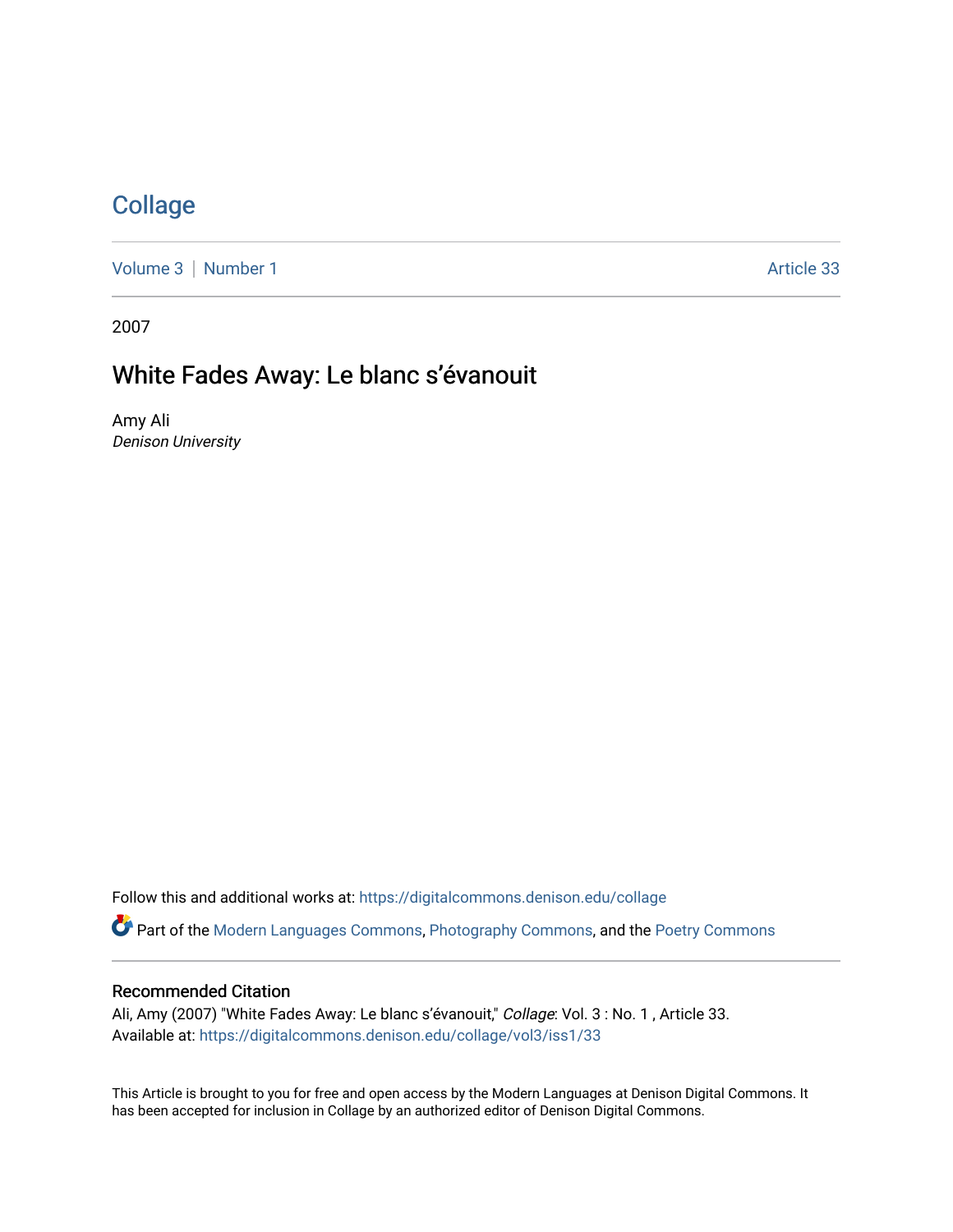## **[Collage](https://digitalcommons.denison.edu/collage)**

[Volume 3](https://digitalcommons.denison.edu/collage/vol3) | [Number 1](https://digitalcommons.denison.edu/collage/vol3/iss1) Article 33

2007

# White Fades Away: Le blanc s'évanouit

Amy Ali Denison University

Follow this and additional works at: [https://digitalcommons.denison.edu/collage](https://digitalcommons.denison.edu/collage?utm_source=digitalcommons.denison.edu%2Fcollage%2Fvol3%2Fiss1%2F33&utm_medium=PDF&utm_campaign=PDFCoverPages)  Part of the [Modern Languages Commons,](http://network.bepress.com/hgg/discipline/1130?utm_source=digitalcommons.denison.edu%2Fcollage%2Fvol3%2Fiss1%2F33&utm_medium=PDF&utm_campaign=PDFCoverPages) [Photography Commons](http://network.bepress.com/hgg/discipline/1142?utm_source=digitalcommons.denison.edu%2Fcollage%2Fvol3%2Fiss1%2F33&utm_medium=PDF&utm_campaign=PDFCoverPages), and the [Poetry Commons](http://network.bepress.com/hgg/discipline/1153?utm_source=digitalcommons.denison.edu%2Fcollage%2Fvol3%2Fiss1%2F33&utm_medium=PDF&utm_campaign=PDFCoverPages)

#### Recommended Citation

Ali, Amy (2007) "White Fades Away: Le blanc s'évanouit," Collage: Vol. 3 : No. 1, Article 33. Available at: [https://digitalcommons.denison.edu/collage/vol3/iss1/33](https://digitalcommons.denison.edu/collage/vol3/iss1/33?utm_source=digitalcommons.denison.edu%2Fcollage%2Fvol3%2Fiss1%2F33&utm_medium=PDF&utm_campaign=PDFCoverPages)

This Article is brought to you for free and open access by the Modern Languages at Denison Digital Commons. It has been accepted for inclusion in Collage by an authorized editor of Denison Digital Commons.